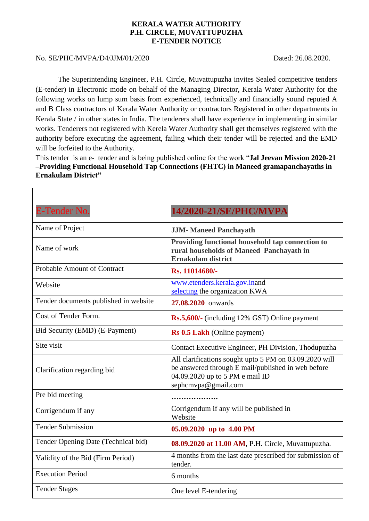## **KERALA WATER AUTHORITY P.H. CIRCLE, MUVATTUPUZHA E-TENDER NOTICE**

## No. SE/PHC/MVPA/D4/JJM/01/2020 Dated: 26.08.2020.

The Superintending Engineer, P.H. Circle, Muvattupuzha invites Sealed competitive tenders (E-tender) in Electronic mode on behalf of the Managing Director, Kerala Water Authority for the following works on lump sum basis from experienced, technically and financially sound reputed A and B Class contractors of Kerala Water Authority or contractors Registered in other departments in Kerala State / in other states in India. The tenderers shall have experience in implementing in similar works. Tenderers not registered with Kerela Water Authority shall get themselves registered with the authority before executing the agreement, failing which their tender will be rejected and the EMD will be forfeited to the Authority.

This tender is an e- tender and is being published online for the work "**Jal Jeevan Mission 2020-21 –Providing Functional Household Tap Connections (FHTC) in Maneed gramapanchayaths in Ernakulam District"**

| E-Tender No.                          | 14/2020-21/SE/PHC/MVPA                                                                                                                                                 |
|---------------------------------------|------------------------------------------------------------------------------------------------------------------------------------------------------------------------|
| Name of Project                       | <b>JJM-Maneed Panchayath</b>                                                                                                                                           |
| Name of work                          | Providing functional household tap connection to<br>rural households of Maneed Panchayath in<br><b>Ernakulam district</b>                                              |
| <b>Probable Amount of Contract</b>    | Rs. 11014680/-                                                                                                                                                         |
| Website                               | www.etenders.kerala.gov.inand<br>selecting the organization KWA                                                                                                        |
| Tender documents published in website | 27.08.2020 onwards                                                                                                                                                     |
| Cost of Tender Form.                  | <b>Rs.5,600/-</b> (including 12% GST) Online payment                                                                                                                   |
| Bid Security (EMD) (E-Payment)        | Rs 0.5 Lakh (Online payment)                                                                                                                                           |
| Site visit                            | Contact Executive Engineer, PH Division, Thodupuzha                                                                                                                    |
| Clarification regarding bid           | All clarifications sought upto 5 PM on 03.09.2020 will<br>be answered through E mail/published in web before<br>04.09.2020 up to 5 PM e mail ID<br>sephcmvpa@gmail.com |
| Pre bid meeting                       |                                                                                                                                                                        |
| Corrigendum if any                    | Corrigendum if any will be published in<br>Website                                                                                                                     |
| <b>Tender Submission</b>              | 05.09.2020 up to 4.00 PM                                                                                                                                               |
| Tender Opening Date (Technical bid)   | 08.09.2020 at 11.00 AM, P.H. Circle, Muvattupuzha.                                                                                                                     |
| Validity of the Bid (Firm Period)     | 4 months from the last date prescribed for submission of<br>tender.                                                                                                    |
| <b>Execution Period</b>               | 6 months                                                                                                                                                               |
| <b>Tender Stages</b>                  | One level E-tendering                                                                                                                                                  |